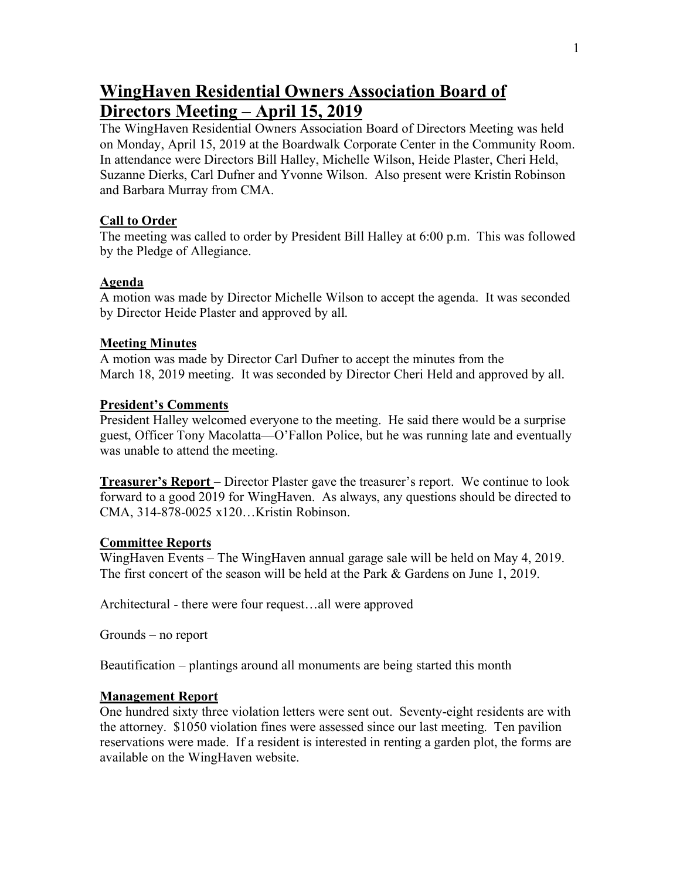# **WingHaven Residential Owners Association Board of Directors Meeting – April 15, 2019**

The WingHaven Residential Owners Association Board of Directors Meeting was held on Monday, April 15, 2019 at the Boardwalk Corporate Center in the Community Room. In attendance were Directors Bill Halley, Michelle Wilson, Heide Plaster, Cheri Held, Suzanne Dierks, Carl Dufner and Yvonne Wilson. Also present were Kristin Robinson and Barbara Murray from CMA.

#### **Call to Order**

The meeting was called to order by President Bill Halley at 6:00 p.m. This was followed by the Pledge of Allegiance.

### **Agenda**

A motion was made by Director Michelle Wilson to accept the agenda. It was seconded by Director Heide Plaster and approved by all.

## **Meeting Minutes**

A motion was made by Director Carl Dufner to accept the minutes from the March 18, 2019 meeting. It was seconded by Director Cheri Held and approved by all.

### **President's Comments**

President Halley welcomed everyone to the meeting. He said there would be a surprise guest, Officer Tony Macolatta—O'Fallon Police, but he was running late and eventually was unable to attend the meeting.

**Treasurer's Report** – Director Plaster gave the treasurer's report. We continue to look forward to a good 2019 for WingHaven. As always, any questions should be directed to CMA, 314-878-0025 x120…Kristin Robinson.

## **Committee Reports**

WingHaven Events – The WingHaven annual garage sale will be held on May 4, 2019. The first concert of the season will be held at the Park & Gardens on June 1, 2019.

Architectural - there were four request…all were approved

Grounds – no report

Beautification – plantings around all monuments are being started this month

## **Management Report**

One hundred sixty three violation letters were sent out. Seventy-eight residents are with the attorney. \$1050 violation fines were assessed since our last meeting. Ten pavilion reservations were made. If a resident is interested in renting a garden plot, the forms are available on the WingHaven website.